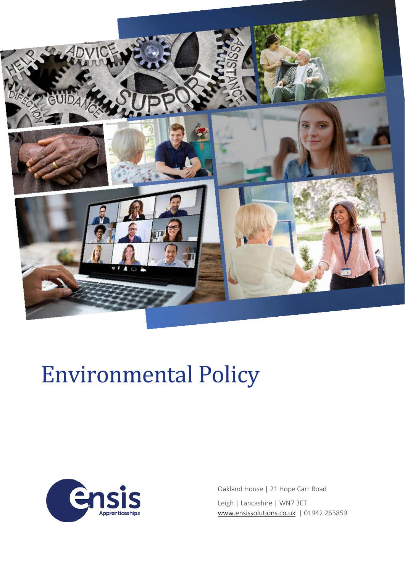

# Environmental Policy



Oakland House | 21 Hope Carr Road Leigh | Lancashire | WN7 3ET [www.ensissolutions.co.uk](http://www.ensissolutions.co.uk/) | 01942 265859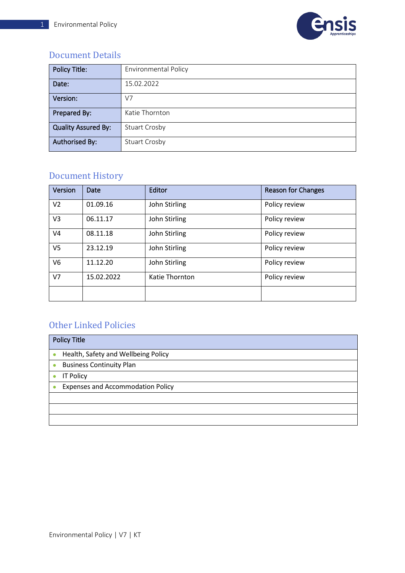

### Document Details

| <b>Policy Title:</b>       | <b>Environmental Policy</b> |
|----------------------------|-----------------------------|
| Date:                      | 15.02.2022                  |
| Version:                   | V7                          |
| Prepared By:               | Katie Thornton              |
| <b>Quality Assured By:</b> | <b>Stuart Crosby</b>        |
| <b>Authorised By:</b>      | <b>Stuart Crosby</b>        |

# Document History

| Version        | Date       | Editor         | <b>Reason for Changes</b> |
|----------------|------------|----------------|---------------------------|
| V <sub>2</sub> | 01.09.16   | John Stirling  | Policy review             |
| V3             | 06.11.17   | John Stirling  | Policy review             |
| V4             | 08.11.18   | John Stirling  | Policy review             |
| V <sub>5</sub> | 23.12.19   | John Stirling  | Policy review             |
| V6             | 11.12.20   | John Stirling  | Policy review             |
| V <sub>7</sub> | 15.02.2022 | Katie Thornton | Policy review             |
|                |            |                |                           |

## Other Linked Policies

| <b>Policy Title</b>                          |  |
|----------------------------------------------|--|
| Health, Safety and Wellbeing Policy          |  |
| <b>Business Continuity Plan</b><br>$\bullet$ |  |
| <b>IT Policy</b>                             |  |
| <b>Expenses and Accommodation Policy</b>     |  |
|                                              |  |
|                                              |  |
|                                              |  |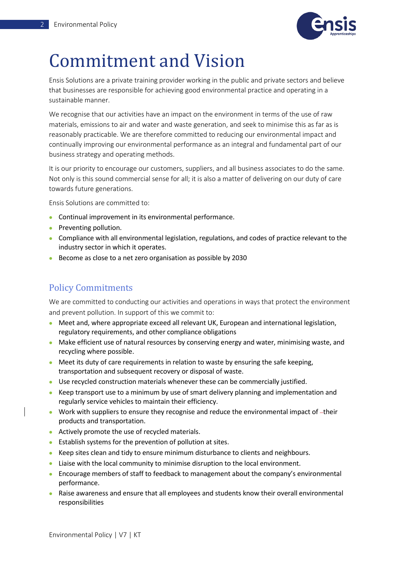

# Commitment and Vision

Ensis Solutions are a private training provider working in the public and private sectors and believe that businesses are responsible for achieving good environmental practice and operating in a sustainable manner.

We recognise that our activities have an impact on the environment in terms of the use of raw materials, emissions to air and water and waste generation, and seek to minimise this as far as is reasonably practicable. We are therefore committed to reducing our environmental impact and continually improving our environmental performance as an integral and fundamental part of our business strategy and operating methods.

It is our priority to encourage our customers, suppliers, and all business associates to do the same. Not only is this sound commercial sense for all; it is also a matter of delivering on our duty of care towards future generations.

Ensis Solutions are committed to:

- Continual improvement in its environmental performance.
- Preventing pollution.
- Compliance with all environmental legislation, regulations, and codes of practice relevant to the industry sector in which it operates.
- Become as close to a net zero organisation as possible by 2030

### Policy Commitments

We are committed to conducting our activities and operations in ways that protect the environment and prevent pollution. In support of this we commit to:

- Meet and, where appropriate exceed all relevant UK, European and international legislation, regulatory requirements, and other compliance obligations
- Make efficient use of natural resources by conserving energy and water, minimising waste, and recycling where possible.
- Meet its duty of care requirements in relation to waste by ensuring the safe keeping, transportation and subsequent recovery or disposal of waste.
- Use recycled construction materials whenever these can be commercially justified.
- Keep transport use to a minimum by use of smart delivery planning and implementation and regularly service vehicles to maintain their efficiency.
- Work with suppliers to ensure they recognise and reduce the environmental impact of  $-$ their products and transportation.
- Actively promote the use of recycled materials.
- Establish systems for the prevention of pollution at sites.
- Keep sites clean and tidy to ensure minimum disturbance to clients and neighbours.
- Liaise with the local community to minimise disruption to the local environment.
- Encourage members of staff to feedback to management about the company's environmental performance.
- Raise awareness and ensure that all employees and students know their overall environmental responsibilities